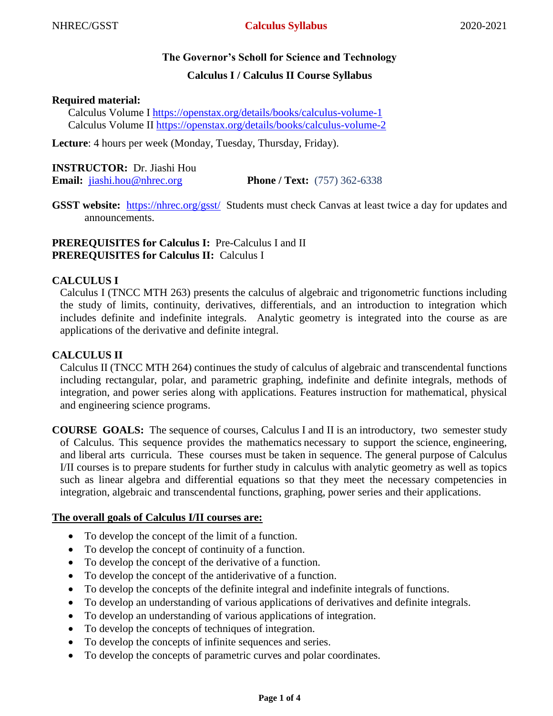# **The Governor's Scholl for Science and Technology**

# **Calculus I / Calculus II Course Syllabus**

## **Required material:**

Calculus Volume I<https://openstax.org/details/books/calculus-volume-1> Calculus Volume II<https://openstax.org/details/books/calculus-volume-2>

**Lecture**: 4 hours per week (Monday, Tuesday, Thursday, Friday).

# **INSTRUCTOR:** Dr. Jiashi Hou

**Email:** [jiashi.hou@nhrec.org](mailto:jiashi.hou@nhrec.org) **Phone / Text:** (757) 362-6338

**GSST website:** <https://nhrec.org/gsst/>Students must check Canvas at least twice a day for updates and announcements.

# **PREREQUISITES for Calculus I:** Pre-Calculus I and II **PREREQUISITES for Calculus II:** Calculus I

# **CALCULUS I**

Calculus I (TNCC MTH 263) presents the calculus of algebraic and trigonometric functions including the study of limits, continuity, derivatives, differentials, and an introduction to integration which includes definite and indefinite integrals. Analytic geometry is integrated into the course as are applications of the derivative and definite integral.

# **CALCULUS II**

Calculus II (TNCC MTH 264) continues the study of calculus of algebraic and transcendental functions including rectangular, polar, and parametric graphing, indefinite and definite integrals, methods of integration, and power series along with applications. Features instruction for mathematical, physical and engineering science programs.

**COURSE GOALS:** The sequence of courses, Calculus I and II is an introductory, two semester study of Calculus. This sequence provides the mathematics necessary to support the science, engineering, and liberal arts curricula. These courses must be taken in sequence. The general purpose of Calculus I/II courses is to prepare students for further study in calculus with analytic geometry as well as topics such as linear algebra and differential equations so that they meet the necessary competencies in integration, algebraic and transcendental functions, graphing, power series and their applications.

### **The overall goals of Calculus I/II courses are:**

- To develop the concept of the limit of a function.
- To develop the concept of continuity of a function.
- To develop the concept of the derivative of a function.
- To develop the concept of the antiderivative of a function.
- To develop the concepts of the definite integral and indefinite integrals of functions.
- To develop an understanding of various applications of derivatives and definite integrals.
- To develop an understanding of various applications of integration.
- To develop the concepts of techniques of integration.
- To develop the concepts of infinite sequences and series.
- To develop the concepts of parametric curves and polar coordinates.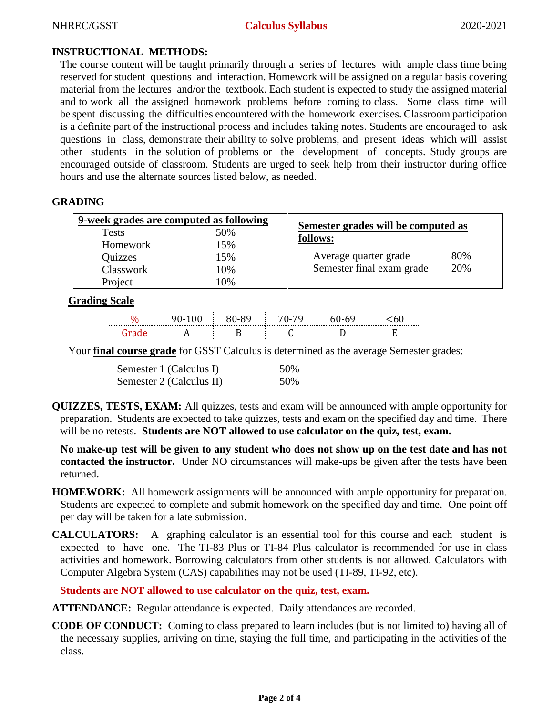#### NHREC/GSST **Calculus Syllabus** 2020-2021

# **INSTRUCTIONAL METHODS:**

The course content will be taught primarily through a series of lectures with ample class time being reserved for student questions and interaction. Homework will be assigned on a regular basis covering material from the lectures and/or the textbook. Each student is expected to study the assigned material and to work all the assigned homework problems before coming to class. Some class time will be spent discussing the difficulties encountered with the homework exercises. Classroom participation is a definite part of the instructional process and includes taking notes. Students are encouraged to ask questions in class, demonstrate their ability to solve problems, and present ideas which will assist other students in the solution of problems or the development of concepts. Study groups are encouraged outside of classroom. Students are urged to seek help from their instructor during office hours and use the alternate sources listed below, as needed.

# **GRADING**

| 9-week grades are computed as following |     | Semester grades will be computed as |     |  |
|-----------------------------------------|-----|-------------------------------------|-----|--|
| <b>Tests</b>                            | 50% | follows:                            |     |  |
| Homework                                | 15% |                                     |     |  |
| Quizzes                                 | 15% | Average quarter grade               | 80% |  |
| Classwork                               | 10% | Semester final exam grade           | 20% |  |
| Project                                 | 10% |                                     |     |  |

# **Grading Scale**

|       | $90-100 \div 80-89 \div 70-79 \div 60-69$ |  | Chľ |
|-------|-------------------------------------------|--|-----|
| Grade |                                           |  |     |

Your **final course grade** for GSST Calculus is determined as the average Semester grades:

| Semester 1 (Calculus I)  | 50% |
|--------------------------|-----|
| Semester 2 (Calculus II) | 50% |

**QUIZZES, TESTS, EXAM:** All quizzes, tests and exam will be announced with ample opportunity for preparation. Students are expected to take quizzes, tests and exam on the specified day and time. There will be no retests. **Students are NOT allowed to use calculator on the quiz, test, exam.**

**No make-up test will be given to any student who does not show up on the test date and has not contacted the instructor.** Under NO circumstances will make-ups be given after the tests have been returned.

- **HOMEWORK:** All homework assignments will be announced with ample opportunity for preparation. Students are expected to complete and submit homework on the specified day and time. One point off per day will be taken for a late submission.
- **CALCULATORS:** A graphing calculator is an essential tool for this course and each student is expected to have one. The TI-83 Plus or TI-84 Plus calculator is recommended for use in class activities and homework. Borrowing calculators from other students is not allowed. Calculators with Computer Algebra System (CAS) capabilities may not be used (TI-89, TI-92, etc).

**Students are NOT allowed to use calculator on the quiz, test, exam.**

**ATTENDANCE:** Regular attendance is expected. Daily attendances are recorded.

**CODE OF CONDUCT:** Coming to class prepared to learn includes (but is not limited to) having all of the necessary supplies, arriving on time, staying the full time, and participating in the activities of the class.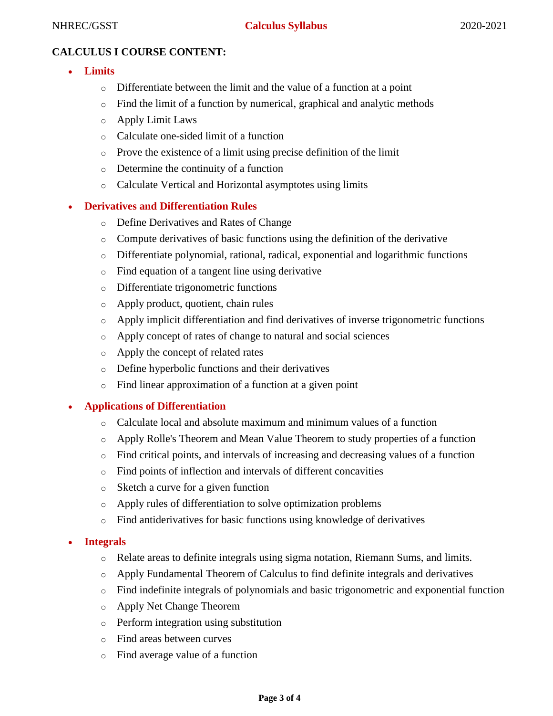# **CALCULUS I COURSE CONTENT:**

- **Limits**
	- o Differentiate between the limit and the value of a function at a point
	- o Find the limit of a function by numerical, graphical and analytic methods
	- o Apply Limit Laws
	- o Calculate one-sided limit of a function
	- o Prove the existence of a limit using precise definition of the limit
	- o Determine the continuity of a function
	- o Calculate Vertical and Horizontal asymptotes using limits

# **Derivatives and Differentiation Rules**

- o Define Derivatives and Rates of Change
- o Compute derivatives of basic functions using the definition of the derivative
- o Differentiate polynomial, rational, radical, exponential and logarithmic functions
- o Find equation of a tangent line using derivative
- o Differentiate trigonometric functions
- o Apply product, quotient, chain rules
- o Apply implicit differentiation and find derivatives of inverse trigonometric functions
- o Apply concept of rates of change to natural and social sciences
- o Apply the concept of related rates
- o Define hyperbolic functions and their derivatives
- o Find linear approximation of a function at a given point

### **Applications of Differentiation**

- $\circ$  Calculate local and absolute maximum and minimum values of a function
- o Apply Rolle's Theorem and Mean Value Theorem to study properties of a function
- o Find critical points, and intervals of increasing and decreasing values of a function
- o Find points of inflection and intervals of different concavities
- o Sketch a curve for a given function
- o Apply rules of differentiation to solve optimization problems
- o Find antiderivatives for basic functions using knowledge of derivatives

### **Integrals**

- o Relate areas to definite integrals using sigma notation, Riemann Sums, and limits.
- o Apply Fundamental Theorem of Calculus to find definite integrals and derivatives
- o Find indefinite integrals of polynomials and basic trigonometric and exponential function
- o Apply Net Change Theorem
- o Perform integration using substitution
- o Find areas between curves
- o Find average value of a function